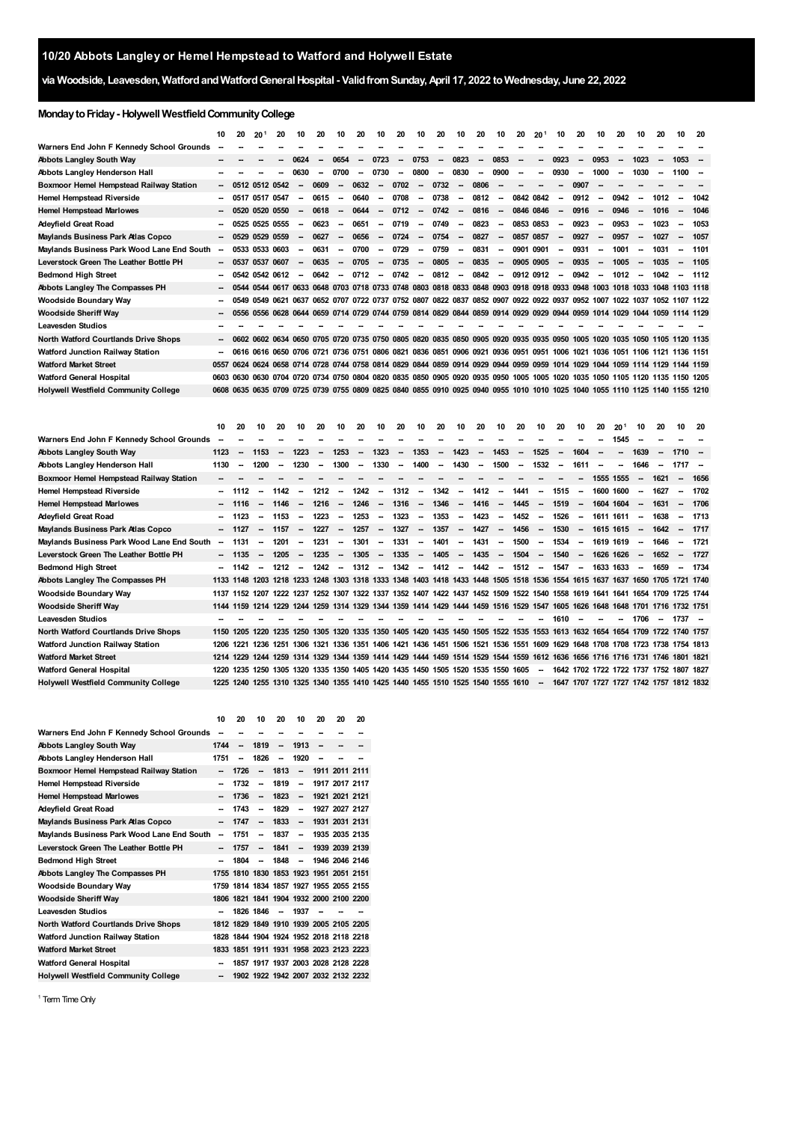# **via Woodside, Leavesden, WatfordandWatfordGeneralHospital - ValidfromSunday,April 17, 2022 toWednesday, June 22, 2022**

# **MondaytoFriday- Holywell WestfieldCommunityCollege**

|                                             | 10     | 20             | 20 <sup>1</sup> | 20   | 10                       | 20                       | 10                       | 20   | 10                       | 20                       | 10                       | 20                       | 10     | 20                                                                                                                           | 10                       | 20        | 20 <sup>1</sup>          | 10                       | 20                       | 10                       | 20   | 10                       | 20                       | 10             | 20   |
|---------------------------------------------|--------|----------------|-----------------|------|--------------------------|--------------------------|--------------------------|------|--------------------------|--------------------------|--------------------------|--------------------------|--------|------------------------------------------------------------------------------------------------------------------------------|--------------------------|-----------|--------------------------|--------------------------|--------------------------|--------------------------|------|--------------------------|--------------------------|----------------|------|
| Warners End John F Kennedy School Grounds   |        |                |                 |      |                          |                          |                          |      |                          |                          |                          |                          |        |                                                                                                                              |                          |           |                          |                          |                          |                          |      |                          |                          |                |      |
| <b>Abbots Langley South Way</b>             |        |                |                 |      | 0624                     | $\overline{\phantom{a}}$ | 0654                     |      | 0723                     | $\overline{\phantom{a}}$ | 0753                     | $\overline{\phantom{a}}$ | 0823   | $\overline{\phantom{a}}$                                                                                                     | 0853                     | --        |                          | 0923                     | $\overline{\phantom{a}}$ | 0953                     |      | 1023                     | $\overline{\phantom{a}}$ | 1053           |      |
| Abbots Langley Henderson Hall               | --     |                |                 |      | 0630                     |                          | 0700                     |      | 0730                     | $\overline{\phantom{a}}$ | 0800                     | --                       | 0830   | $\overline{\phantom{a}}$                                                                                                     | 0900                     | --        |                          | 0930                     | $\overline{\phantom{a}}$ | 1000                     |      | 1030                     | $\overline{\phantom{a}}$ | 1100           | --   |
| Boxmoor Hemel Hempstead Railway Station     |        | 0512 0512 0542 |                 |      | $\overline{\phantom{a}}$ | 0609                     | $\overline{\phantom{a}}$ | 0632 | $\sim$                   | 0702                     | $\overline{\phantom{a}}$ | 0732                     | $\sim$ | 0806                                                                                                                         | $\overline{\phantom{a}}$ | --        | $\overline{\phantom{a}}$ | $\overline{\phantom{a}}$ | 0907                     | $\overline{\phantom{a}}$ |      |                          |                          |                |      |
| Hemel Hempstead Riverside                   | --     | 0517           | 0517 0547       |      | $\overline{\phantom{a}}$ | 0615                     | -                        | 0640 | $\overline{\phantom{a}}$ | 0708                     | $\sim$                   | 0738                     | $\sim$ | 0812                                                                                                                         | $\sim$                   | 0842 0842 |                          | --                       | 0912                     | $\overline{\phantom{a}}$ | 0942 | $\overline{\phantom{a}}$ | 1012                     |                | 1042 |
| <b>Hemel Hempstead Marlowes</b>             | -      | 0520           | 0520 0550       |      | $\overline{\phantom{a}}$ | 0618                     | $\overline{\phantom{a}}$ | 0644 | $\overline{\phantom{a}}$ | 0712                     | $\overline{\phantom{a}}$ | 0742                     | $\sim$ | 0816                                                                                                                         | $\overline{\phantom{a}}$ | 0846 0846 |                          | $\overline{\phantom{a}}$ | 0916                     | $\overline{\phantom{a}}$ | 0946 | $\overline{\phantom{a}}$ | 1016                     |                | 1046 |
| Adeyfield Great Road                        | −      | 0525 0525 0555 |                 |      | $\overline{\phantom{a}}$ | 0623                     | $\overline{\phantom{a}}$ | 0651 | $\overline{\phantom{a}}$ | 0719                     | $\overline{\phantom{a}}$ | 0749                     | $\sim$ | 0823                                                                                                                         | $\sim$                   | 0853 0853 |                          | $\overline{\phantom{a}}$ | 0923                     | $\overline{\phantom{a}}$ | 0953 | $\overline{\phantom{a}}$ | 1023                     |                | 1053 |
| Maylands Business Park Atlas Copco          |        | $-0529$        | 0529 0559       |      | $\overline{\phantom{a}}$ | 0627                     | $\overline{\phantom{a}}$ | 0656 | $\sim$                   | 0724                     | $\overline{\phantom{a}}$ | 0754                     | $\sim$ | 0827                                                                                                                         | $\overline{\phantom{a}}$ | 0857      | 0857                     | $\overline{\phantom{a}}$ | 0927                     | $\overline{\phantom{a}}$ | 0957 | $\overline{\phantom{a}}$ | 1027                     |                | 1057 |
| Maylands Business Park Wood Lane End South  | $\sim$ |                | 0533 0533 0603  |      | $\overline{\phantom{a}}$ | 0631                     | $\overline{\phantom{a}}$ | 0700 | -                        | 0729                     | $\overline{\phantom{a}}$ | 0759                     | $\sim$ | 0831                                                                                                                         | $\sim$                   | 0901 0901 |                          | --                       | 0931                     | $\overline{\phantom{a}}$ | 1001 |                          | 1031                     |                | 1101 |
| Leverstock Green The Leather Bottle PH      |        | $-0537$        | 0537            | 0607 | $\overline{\phantom{a}}$ | 0635                     | $\sim$                   | 0705 | $\overline{\phantom{a}}$ | 0735                     | $\overline{\phantom{a}}$ | 0805                     | $\sim$ | 0835                                                                                                                         | $\sim$                   | 0905 0905 |                          | $\sim$                   | 0935                     | $\overline{\phantom{a}}$ | 1005 | $\overline{\phantom{a}}$ | 1035                     |                | 1105 |
| <b>Bedmond High Street</b>                  | ۰.     | 0542 0542 0612 |                 |      | $\sim$                   | 0642                     | $\overline{\phantom{a}}$ | 0712 | $\overline{\phantom{a}}$ | 0742                     | $\overline{\phantom{a}}$ | 0812                     | $\sim$ | 0842                                                                                                                         | $\overline{\phantom{a}}$ | 0912 0912 |                          | $\overline{\phantom{a}}$ | 0942                     | $\overline{\phantom{a}}$ | 1012 | $\overline{\phantom{a}}$ | 1042                     |                | 1112 |
| Abbots Langley The Compasses PH             | −      | 0544           |                 |      |                          |                          |                          |      |                          |                          |                          |                          |        | 0544 0617 0633 0648 0703 0718 0733 0748 0803 0818 0833 0848 0903 0918 0918 0933 0948 1003 1018 1033 1048 1103 1118           |                          |           |                          |                          |                          |                          |      |                          |                          |                |      |
| <b>Woodside Boundary Way</b>                |        |                |                 |      |                          |                          |                          |      |                          |                          |                          |                          |        | 0549 0549 0621 0637 0652 0707 0722 0737 0752 0807 0822 0837 0852 0907 0922 0922 0937 0952 1007 1022 1037 1052 1107 1122      |                          |           |                          |                          |                          |                          |      |                          |                          |                |      |
| <b>Woodside Sheriff Way</b>                 | -      |                |                 |      |                          |                          |                          |      |                          |                          |                          |                          |        | 0556 0556 0628 0644 0659 0714 0729 0744 0759 0814 0829 0844 0859 0914 0929 0929 0944 0959                                    |                          |           |                          |                          |                          | 1014 1029                |      | 1044                     |                          | 1059 1114 1129 |      |
| <b>Leavesden Studios</b>                    |        |                |                 |      |                          |                          |                          |      |                          |                          |                          |                          |        |                                                                                                                              |                          |           |                          |                          |                          |                          |      |                          |                          |                |      |
| North Watford Courtlands Drive Shops        |        |                |                 |      |                          |                          |                          |      |                          |                          |                          |                          |        | - 0602 0602 0634 0650 0705 0720 0735 0750 0805 0820 0835 0850 0905 0920 0935 0935 0950 1005 1020 1035 1050 1105 1120 1135    |                          |           |                          |                          |                          |                          |      |                          |                          |                |      |
| Watford Junction Railway Station            | -      |                |                 |      |                          |                          |                          |      |                          |                          |                          |                          |        | 0616 0616 0650 0706 0721 0736 0751 0806 0821 0836 0851 0906 0921 0936 0951 0951 1006 1021 1036 1051 1106 1121 1136 1151      |                          |           |                          |                          |                          |                          |      |                          |                          |                |      |
| <b>Watford Market Street</b>                |        |                |                 |      |                          |                          |                          |      |                          |                          |                          |                          |        | 0557 0624 0624 0658 0714 0728 0744 0758 0814 0829 0844 0859 0914 0929 0944 0959 0959 1014 1029 1044 1059 1114 1129 1144 1159 |                          |           |                          |                          |                          |                          |      |                          |                          |                |      |
| <b>Watford General Hospital</b>             |        |                |                 |      |                          |                          |                          |      |                          |                          |                          |                          |        | 0603 0630 0630 0704 0720 0734 0750 0804 0820 0835 0850 0905 0920 0935 0950 1005 1005 1020 1035 1050 1105 1120 1135 1150 1205 |                          |           |                          |                          |                          |                          |      |                          |                          |                |      |
| <b>Holywell Westfield Community College</b> |        |                |                 |      |                          |                          |                          |      |                          |                          |                          |                          |        | 0608 0635 0635 0709 0725 0739 0755 0809 0825 0840 0855 0910 0925 0940 0955 1010 1010 1025 1040 1055 1110 1125 1140 1155 1210 |                          |           |                          |                          |                          |                          |      |                          |                          |                |      |

|                                            | 10                       | 20                  | 10                       | 20                                                                                                                           | 10                       | 20                       | 10                       | 20                       | 10                       | 20                       | 10                       | 20                       | 10     | 20                       | 10                       | 20                       | 10     | 20                                                                                                       | 10                       | 20                       | 20 <sup>1</sup>          | 10                       | 20                       | 10                       | -20  |
|--------------------------------------------|--------------------------|---------------------|--------------------------|------------------------------------------------------------------------------------------------------------------------------|--------------------------|--------------------------|--------------------------|--------------------------|--------------------------|--------------------------|--------------------------|--------------------------|--------|--------------------------|--------------------------|--------------------------|--------|----------------------------------------------------------------------------------------------------------|--------------------------|--------------------------|--------------------------|--------------------------|--------------------------|--------------------------|------|
| Warners End John F Kennedy School Grounds  |                          |                     |                          |                                                                                                                              |                          |                          |                          |                          |                          |                          |                          |                          |        |                          |                          |                          |        |                                                                                                          |                          |                          | 1545                     |                          |                          |                          |      |
| Abbots Langley South Way                   | 1123                     | $\sim$              | 1153                     |                                                                                                                              | 1223                     |                          | 1253                     | $\overline{\phantom{a}}$ | 1323                     | -                        | 1353                     | $\overline{\phantom{a}}$ | 1423   | $\overline{\phantom{a}}$ | 1453                     | $\overline{\phantom{a}}$ | 1525   | $\overline{\phantom{a}}$                                                                                 | 1604                     | $\overline{\phantom{a}}$ | $\overline{\phantom{a}}$ | 1639                     |                          | $1710 -$                 |      |
| Abbots Langley Henderson Hall              | 1130                     | -                   | 1200                     | -                                                                                                                            | 1230                     | $\overline{\phantom{a}}$ | 1300                     | $\sim$                   | 1330                     | $\overline{\phantom{a}}$ | 1400                     | $\overline{\phantom{a}}$ | 1430   | $\overline{\phantom{a}}$ | 1500                     | $\overline{\phantom{a}}$ | 1532   | $\overline{\phantom{a}}$                                                                                 | 1611                     | $\overline{\phantom{a}}$ | $\overline{\phantom{a}}$ | 1646                     | $\overline{\phantom{a}}$ | $1717 -$                 |      |
| Boxmoor Hemel Hempstead Railway Station    | $\sim$                   |                     |                          |                                                                                                                              |                          |                          |                          |                          |                          |                          |                          |                          |        |                          |                          |                          |        | --                                                                                                       |                          | 1555 1555                |                          | $\overline{\phantom{a}}$ | 1621                     |                          | 1656 |
| Hemel Hempstead Riverside                  |                          | 1112                |                          | 1142                                                                                                                         |                          | 1212                     | $\overline{\phantom{a}}$ | 1242                     | $\overline{\phantom{a}}$ | 1312                     | $\sim$                   | 1342                     | $\sim$ | 1412                     | $\sim$                   | 1441                     | $\sim$ | 1515                                                                                                     | $\sim$                   | 1600                     | 1600                     |                          | 1627                     | --                       | 1702 |
| <b>Hemel Hempstead Marlowes</b>            |                          | 1116                |                          | 1146                                                                                                                         | $\overline{\phantom{a}}$ | 1216                     | $\overline{\phantom{a}}$ | 1246                     | -                        | 1316                     | $\overline{\phantom{a}}$ | 1346                     | $\sim$ | 1416                     | $\overline{\phantom{a}}$ | 1445                     | $\sim$ | 1519                                                                                                     | $\overline{\phantom{a}}$ |                          | 1604 1604                | $\overline{\phantom{a}}$ | 1631                     |                          | 1706 |
| Adeyfield Great Road                       |                          | 1123                | $\overline{\phantom{a}}$ | 1153                                                                                                                         | $\overline{\phantom{a}}$ | 1223                     | $\overline{\phantom{a}}$ | 1253                     | $\overline{\phantom{a}}$ | 1323                     | $\sim$                   | 1353                     | $\sim$ | 1423                     | $\sim$                   | 1452                     | $\sim$ | 1526                                                                                                     | $\sim$                   |                          | 1611 1611                | $\overline{\phantom{a}}$ | 1638                     | $\overline{\phantom{a}}$ | 1713 |
| Maylands Business Park Atlas Copco         |                          | $-1127$             | $\sim$                   | 1157                                                                                                                         | $\overline{\phantom{a}}$ | 1227                     | $\overline{\phantom{a}}$ | 1257                     | $\sim$                   | 1327                     | $\overline{\phantom{a}}$ | 1357                     | $\sim$ | 1427                     |                          | $- 1456$                 | $\sim$ | 1530                                                                                                     |                          |                          | $- 1615 1615$            | $\sim$                   | 1642                     | $\overline{\phantom{a}}$ | 1717 |
| Maylands Business Park Wood Lane End South | $\overline{\phantom{a}}$ | 1131                |                          | 1201                                                                                                                         | $\overline{\phantom{a}}$ | 1231                     | $\overline{\phantom{a}}$ | 1301                     | $\overline{\phantom{a}}$ | 1331                     | $\sim$                   | 1401                     | $\sim$ | 1431                     | $\sim$                   | 1500                     | $\sim$ | 1534                                                                                                     | $\overline{\phantom{a}}$ |                          | 1619 1619                | $\overline{\phantom{a}}$ | 1646                     |                          | 1721 |
| Leverstock Green The Leather Bottle PH     |                          | $- 1135$            | $\overline{\phantom{a}}$ | 1205                                                                                                                         | $\overline{\phantom{a}}$ | 1235                     | $\sim$                   | 1305                     | $\overline{\phantom{a}}$ | 1335                     | $\sim$                   | 1405                     | $\sim$ | 1435                     | $\overline{\phantom{a}}$ | 1504                     | $\sim$ | 1540                                                                                                     | $\overline{\phantom{a}}$ |                          | 1626 1626                | $\overline{\phantom{a}}$ | 1652                     | $\overline{\phantom{a}}$ | 1727 |
| <b>Bedmond High Street</b>                 |                          | $-1142$             |                          | 1212                                                                                                                         | $\overline{\phantom{a}}$ | 1242                     | $\overline{\phantom{a}}$ | 1312                     | $\overline{\phantom{a}}$ | 1342                     | $\overline{\phantom{a}}$ | 1412                     | $\sim$ | 1442                     | $\sim$                   | 1512                     | $\sim$ | 1547                                                                                                     | $\overline{\phantom{a}}$ |                          | 1633 1633                | $\overline{\phantom{a}}$ | 1659                     |                          | 1734 |
| Abbots Langley The Compasses PH            |                          |                     |                          | 1133 1148 1203 1218 1233 1248 1303 1318 1333 1348 1403 1418 1433 1448 1505 1518 1536 1554 1615 1637 1637 1650 1705 1721 1740 |                          |                          |                          |                          |                          |                          |                          |                          |        |                          |                          |                          |        |                                                                                                          |                          |                          |                          |                          |                          |                          |      |
| Woodside Boundary Way                      |                          |                     |                          | 1137 1152 1207 1222 1237 1252 1307 1322 1337 1352 1407 1422 1437 1452 1509 1522 1540 1558 1619 1641 1641 1654 1709 1725 1744 |                          |                          |                          |                          |                          |                          |                          |                          |        |                          |                          |                          |        |                                                                                                          |                          |                          |                          |                          |                          |                          |      |
| <b>Woodside Sheriff Way</b>                |                          |                     |                          | 1144 1159 1214 1229 1244 1259 1314 1329 1344 1359 1414 1429 1444 1459 1516 1529 1547 1605 1626 1648 1648 1701 1716 1732 1751 |                          |                          |                          |                          |                          |                          |                          |                          |        |                          |                          |                          |        |                                                                                                          |                          |                          |                          |                          |                          |                          |      |
| Leavesden Studios                          |                          |                     |                          |                                                                                                                              |                          |                          |                          |                          |                          |                          |                          |                          |        |                          |                          |                          |        | 1610                                                                                                     |                          |                          |                          | 1706                     | $\overline{\phantom{a}}$ | $1737 -$                 |      |
| North Watford Courtlands Drive Shops       |                          |                     |                          | 1150 1205 1220 1235 1250 1305 1320 1335 1350 1405 1420 1435 1450 1505 1522 1535 1553 1613 1632 1654 1654 1709 1722 1740 1757 |                          |                          |                          |                          |                          |                          |                          |                          |        |                          |                          |                          |        |                                                                                                          |                          |                          |                          |                          |                          |                          |      |
| Watford Junction Railway Station           |                          | 1206 1221 1236 1251 |                          |                                                                                                                              |                          |                          |                          |                          |                          |                          |                          |                          |        |                          |                          |                          |        | 1306 1321 1336 1351 1406 1421 1436 1451 1506 1521 1536 1551 1609 1629 1648 1708 1708 1723 1738 1754 1813 |                          |                          |                          |                          |                          |                          |      |
| <b>Watford Market Street</b>               |                          |                     |                          | 1214 1229 1244 1259 1314 1329 1344 1359 1414 1429 1444 1459 1514 1529 1544 1559 1612 1636 1656 1716 1716 1731 1746 1801 1821 |                          |                          |                          |                          |                          |                          |                          |                          |        |                          |                          |                          |        |                                                                                                          |                          |                          |                          |                          |                          |                          |      |
| Watford General Hospital                   |                          |                     |                          | 1220 1235 1250 1305 1320 1335 1350 1405 1420 1435 1450 1505 1520 1535 1550 1605                                              |                          |                          |                          |                          |                          |                          |                          |                          |        |                          |                          |                          | $\sim$ | 1642 1702 1722 1722 1737 1752 1807 1827                                                                  |                          |                          |                          |                          |                          |                          |      |
| Holywell Westfield Community College       |                          |                     |                          | 1225 1240 1255 1310 1325 1340 1355 1410 1425 1440 1455 1510 1525 1540 1555 1610 --                                           |                          |                          |                          |                          |                          |                          |                          |                          |        |                          |                          |                          |        | 1647 1707 1727 1727 1742 1757 1812 1832                                                                  |                          |                          |                          |                          |                          |                          |      |
|                                            |                          |                     |                          |                                                                                                                              |                          |                          |                          |                          |                          |                          |                          |                          |        |                          |                          |                          |        |                                                                                                          |                          |                          |                          |                          |                          |                          |      |

|                                             | 10                       | 20                                      | 10                       | 20                       | 10                       | 20                       | 20                                 | 20 |
|---------------------------------------------|--------------------------|-----------------------------------------|--------------------------|--------------------------|--------------------------|--------------------------|------------------------------------|----|
| Warners End John F Kennedy School Grounds   | --                       |                                         |                          |                          |                          |                          |                                    |    |
| <b>Abbots Langley South Way</b>             | 1744                     | $\overline{\phantom{a}}$                | 1819                     | $\overline{\phantom{a}}$ | 1913                     | --                       | --                                 |    |
| Abbots Langley Henderson Hall               | 1751                     | --                                      | 1826                     | $\overline{\phantom{a}}$ | 1920                     |                          |                                    |    |
| Boxmoor Hemel Hempstead Railway Station     | --                       | 1726                                    | $\overline{\phantom{a}}$ | 1813                     | -                        |                          | 1911 2011 2111                     |    |
| <b>Hemel Hempstead Riverside</b>            | --                       | 1732                                    | --                       | 1819                     | -                        |                          | 1917 2017 2117                     |    |
| <b>Hemel Hempstead Marlowes</b>             | --                       | 1736                                    | -                        | 1823                     | -                        |                          | 1921 2021 2121                     |    |
| Adeyfield Great Road                        | --                       | 1743                                    | --                       | 1829                     | $\overline{\phantom{a}}$ |                          | 1927 2027 2127                     |    |
| Maylands Business Park Atlas Copco          |                          | 1747                                    | $\overline{\phantom{a}}$ | 1833                     | -                        |                          | 1931 2031 2131                     |    |
| Maylands Business Park Wood Lane End South  | $\overline{\phantom{a}}$ | 1751                                    | --                       | 1837                     | $\overline{\phantom{a}}$ |                          | 1935 2035 2135                     |    |
| Leverstock Green The Leather Bottle PH      | --                       | 1757                                    | $\overline{\phantom{a}}$ | 1841                     | $\overline{\phantom{a}}$ |                          | 1939 2039 2139                     |    |
| <b>Bedmond High Street</b>                  | --                       | 1804                                    | --                       | 1848                     | -                        |                          | 1946 2046 2146                     |    |
| <b>Abbots Langley The Compasses PH</b>      |                          | 1755 1810 1830 1853 1923 1951 2051 2151 |                          |                          |                          |                          |                                    |    |
| <b>Woodside Boundary Way</b>                |                          | 1759 1814 1834 1857 1927 1955 2055 2155 |                          |                          |                          |                          |                                    |    |
| <b>Woodside Sheriff Way</b>                 |                          | 1806 1821 1841 1904 1932 2000 2100 2200 |                          |                          |                          |                          |                                    |    |
| Leavesden Studios                           | --                       |                                         | 1826 1846                | $\overline{\phantom{a}}$ | 1937                     | $\overline{\phantom{a}}$ |                                    |    |
| <b>North Watford Courtlands Drive Shops</b> |                          | 1812 1829 1849 1910 1939 2005 2105 2205 |                          |                          |                          |                          |                                    |    |
| Watford Junction Railway Station            |                          | 1828 1844 1904 1924 1952 2018 2118 2218 |                          |                          |                          |                          |                                    |    |
| <b>Watford Market Street</b>                |                          | 1833 1851 1911 1931 1958 2023 2123 2223 |                          |                          |                          |                          |                                    |    |
| Watford General Hospital                    |                          |                                         |                          |                          |                          |                          | 1857 1917 1937 2003 2028 2128 2228 |    |
| <b>Holywell Westfield Community College</b> | --                       |                                         |                          |                          |                          |                          | 1902 1922 1942 2007 2032 2132 2232 |    |

<span id="page-0-0"></span><sup>1</sup> Term Time Only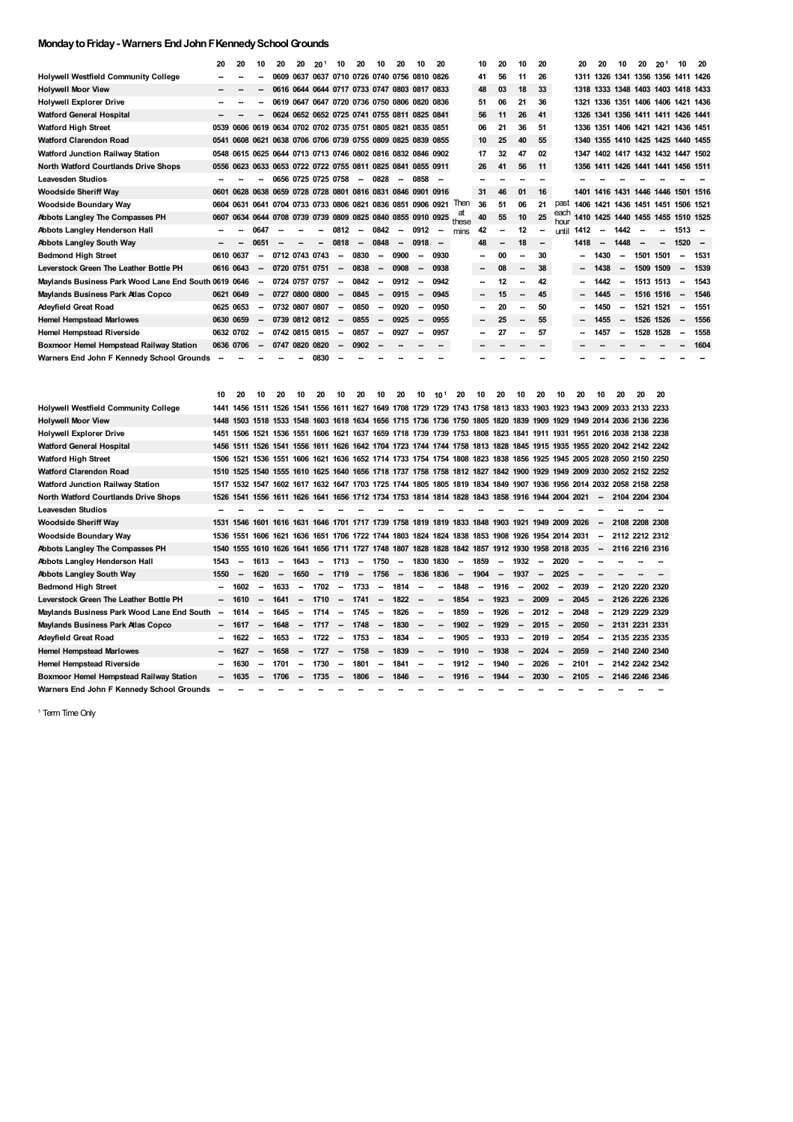## **MondaytoFriday- Warners EndJohnFKennedySchoolGrounds**

|                                                      | 20        | 20        | 10                       | 20                       | 20 | 20 <sup>1</sup>                                             | 10                       | 20     | 10                       | 20     | 10                       | 20     |       | 10                       | 20 | 10                       | 20 |              | 20                       | 20                       | 10                       | 20        | 20 <sup>1</sup>                    | 10                       | 20   |
|------------------------------------------------------|-----------|-----------|--------------------------|--------------------------|----|-------------------------------------------------------------|--------------------------|--------|--------------------------|--------|--------------------------|--------|-------|--------------------------|----|--------------------------|----|--------------|--------------------------|--------------------------|--------------------------|-----------|------------------------------------|--------------------------|------|
| <b>Holywell Westfield Community College</b>          |           |           |                          |                          |    | 0609 0637 0637 0710 0726 0740 0756 0810 0826                |                          |        |                          |        |                          |        |       | 41                       | 56 | 11                       | 26 |              | 1311                     |                          |                          |           | 1326 1341 1356 1356 1411 1426      |                          |      |
| <b>Holywell Moor View</b>                            |           |           |                          |                          |    | 0616 0644 0644 0717 0733 0747 0803 0817 0833                |                          |        |                          |        |                          |        |       | 48                       | 03 | 18                       | 33 |              | 1318                     |                          |                          |           | 1333 1348 1403 1403 1418 1433      |                          |      |
| <b>Holywell Explorer Drive</b>                       |           |           |                          |                          |    | 0619 0647 0647 0720 0736 0750 0806 0820 0836                |                          |        |                          |        |                          |        |       | 51                       | 06 | 21                       | 36 |              |                          |                          |                          |           | 1321 1336 1351 1406 1406 1421 1436 |                          |      |
| <b>Watford General Hospital</b>                      | --        |           |                          |                          |    | 0624 0652 0652 0725 0741 0755 0811 0825 0841                |                          |        |                          |        |                          |        |       | 56                       | 11 | 26                       | 41 |              |                          |                          |                          |           | 1326 1341 1356 1411 1411 1426 1441 |                          |      |
| <b>Watford High Street</b>                           |           |           |                          |                          |    | 0539 0606 0619 0634 0702 0702 0735 0751 0805 0821 0835 0851 |                          |        |                          |        |                          |        |       | 06                       | 21 | 36                       | 51 |              |                          |                          |                          |           | 1336 1351 1406 1421 1421 1436 1451 |                          |      |
| <b>Watford Clarendon Road</b>                        |           |           |                          |                          |    | 0541 0608 0621 0638 0706 0706 0739 0755 0809 0825 0839 0855 |                          |        |                          |        |                          |        |       | 10                       | 25 | 40                       | 55 |              |                          |                          |                          |           | 1340 1355 1410 1425 1425 1440 1455 |                          |      |
| Watford Junction Railway Station                     |           |           |                          |                          |    | 0548 0615 0625 0644 0713 0713 0746 0802 0816 0832 0846 0902 |                          |        |                          |        |                          |        |       | 17                       | 32 | 47                       | 02 |              | 1347                     |                          |                          |           | 1402 1417 1432 1432 1447 1502      |                          |      |
| <b>North Watford Courtlands Drive Shops</b>          |           |           |                          |                          |    | 0556 0623 0633 0653 0722 0722 0755 0811 0825 0841 0855 0911 |                          |        |                          |        |                          |        |       | 26                       | 41 | 56                       | 11 |              |                          |                          |                          |           | 1356 1411 1426 1441 1441 1456 1511 |                          |      |
| <b>Leavesden Studios</b>                             |           |           |                          |                          |    | 0656 0725 0725 0758                                         |                          | $\sim$ | 0828                     | $\sim$ | 0858                     | --     |       |                          |    |                          |    |              |                          |                          |                          |           |                                    |                          |      |
| <b>Woodside Sheriff Way</b>                          | 0601      |           |                          |                          |    | 0628 0638 0659 0728 0728 0801 0816 0831 0846 0901 0916      |                          |        |                          |        |                          |        |       | 31                       | 46 | 01                       | 16 |              | 1401                     |                          |                          |           | 1416 1431 1446 1446 1501 1516      |                          |      |
| <b>Woodside Boundary Way</b>                         |           |           |                          |                          |    | 0604 0631 0641 0704 0733 0733 0806 0821 0836 0851 0906 0921 |                          |        |                          |        |                          |        | Then  | 36                       | 51 | 06                       | 21 | past         |                          |                          |                          |           | 1406 1421 1436 1451 1451 1506 1521 |                          |      |
| Abbots Langley The Compasses PH                      |           |           |                          |                          |    | 0607 0634 0644 0708 0739 0739 0809 0825 0840 0855 0910 0925 |                          |        |                          |        |                          |        | these | 40                       | 55 | 10                       | 25 | each<br>hour |                          |                          |                          |           | 1410 1425 1440 1455 1455 1510 1525 |                          |      |
| Abbots Langley Henderson Hall                        | $\sim$    |           | 0647                     | $\sim$                   |    |                                                             | 0812                     | $\sim$ | 0842                     | $\sim$ | 0912                     | $\sim$ | mins  | 42                       |    | 12                       |    | until        | 1412                     | $\sim$                   | 1442                     | $\sim$    | --                                 | $1513 -$                 |      |
| <b>Abbots Langley South Way</b>                      |           |           | 0651                     | $\overline{\phantom{a}}$ |    | -                                                           | 0818                     | $\sim$ | 0848                     | $\sim$ | 0918                     | --     |       | 48                       | -- | 18                       |    |              | 1418                     | $\overline{\phantom{a}}$ | 1448                     | $\sim$    | $\overline{\phantom{a}}$           | $1520 -$                 |      |
| <b>Bedmond High Street</b>                           | 0610 0637 |           |                          |                          |    | 0712 0743 0743                                              | $\overline{\phantom{a}}$ | 0830   | $\sim$                   | 0900   | $\overline{\phantom{a}}$ | 0930   |       | -                        | 00 |                          | 30 |              | -                        | 1430                     | $\sim$                   | 1501      | 1501                               | $\overline{\phantom{a}}$ | 1531 |
| Leverstock Green The Leather Bottle PH               |           | 0616 0643 | $\overline{\phantom{a}}$ |                          |    | 0720 0751 0751                                              | $\overline{\phantom{a}}$ | 0838   | $\sim$                   | 0908   | $\overline{\phantom{a}}$ | 0938   |       | $\overline{\phantom{a}}$ | 08 | $\overline{\phantom{a}}$ | 38 |              | ۰.                       | 1438                     | $\sim$                   | 1509 1509 |                                    | $\overline{\phantom{a}}$ | 1539 |
| Maylands Business Park Wood Lane End South 0619 0646 |           |           | $\overline{\phantom{a}}$ |                          |    | 0724 0757 0757                                              | $\sim$                   | 0842   | $\overline{\phantom{a}}$ | 0912   |                          | 0942   |       | -                        | 12 |                          | 42 |              | --                       | 1442                     | $\sim$                   | 1513 1513 |                                    | $\overline{\phantom{a}}$ | 1543 |
| Maylands Business Park Atlas Copco                   |           | 0621 0649 | $\sim$                   |                          |    | 0727 0800 0800                                              | $\overline{\phantom{a}}$ | 0845   | $\sim$                   | 0915   | $\sim$                   | 0945   |       | $\overline{\phantom{a}}$ | 15 |                          | 45 |              | ۰.                       | 1445                     | $\sim$                   | 1516 1516 |                                    | $\overline{\phantom{a}}$ | 1546 |
| Adeyfield Great Road                                 |           | 0625 0653 | $\overline{\phantom{a}}$ |                          |    | 0732 0807 0807                                              | $\sim$                   | 0850   | $\sim$                   | 0920   |                          | 0950   |       |                          | 20 |                          | 50 |              | --                       | 1450                     | $\sim$                   | 1521 1521 |                                    | --                       | 1551 |
| <b>Hemel Hempstead Marlowes</b>                      |           | 0630 0659 | $\overline{\phantom{a}}$ |                          |    | 0739 0812 0812                                              | $\overline{\phantom{a}}$ | 0855   | -                        | 0925   | -                        | 0955   |       | $\overline{\phantom{a}}$ | 25 | $\overline{\phantom{a}}$ | 55 |              | $\overline{\phantom{a}}$ | 1455                     | $\overline{\phantom{a}}$ | 1526 1526 |                                    | $\overline{\phantom{a}}$ | 1556 |
| <b>Hemel Hempstead Riverside</b>                     |           | 0632 0702 |                          |                          |    | 0742 0815 0815                                              | $\overline{\phantom{a}}$ | 0857   | -                        | 0927   | -                        | 0957   |       | $\sim$                   | 27 |                          | 57 |              | ⊷                        | 1457                     | $\sim$                   |           | 1528 1528                          | --                       | 1558 |
| Boxmoor Hemel Hempstead Railway Station              |           | 0636 0706 |                          | 0747                     |    | 0820 0820                                                   | $\sim$                   | 0902   | $\overline{\phantom{a}}$ |        |                          |        |       | $\overline{\phantom{a}}$ |    |                          |    |              |                          |                          |                          |           |                                    |                          | 1604 |
| Warners End John F Kennedy School Grounds            |           |           |                          |                          |    | 0830                                                        |                          |        |                          |        |                          |        |       |                          |    |                          |    |              |                          |                          |                          |           |                                    |                          |      |

|                                            | 10                       | 20                       | 10                       | 20                       | 10                       | 20                                                                                                                 | 10                       | 20                       | 10                       | 20     | 10                       | 10 <sup>1</sup>          | 20     | 10                       | 20                       | 10                       | 20                       | 10                       | 20                       | 10                       | 20              | 20 | 20 |
|--------------------------------------------|--------------------------|--------------------------|--------------------------|--------------------------|--------------------------|--------------------------------------------------------------------------------------------------------------------|--------------------------|--------------------------|--------------------------|--------|--------------------------|--------------------------|--------|--------------------------|--------------------------|--------------------------|--------------------------|--------------------------|--------------------------|--------------------------|-----------------|----|----|
| Holywell Westfield Community College       | 1441                     |                          |                          |                          |                          | 1456 1511 1526 1541 1556 1611 1627 1649 1708 1729 1729 1743 1758 1813 1833 1903 1923 1943 2009 2033 2133 2233      |                          |                          |                          |        |                          |                          |        |                          |                          |                          |                          |                          |                          |                          |                 |    |    |
| <b>Holywell Moor View</b>                  |                          |                          |                          |                          |                          | 1448 1503 1518 1533 1548 1603 1618 1634 1656 1715 1736 1736 1750 1805 1820 1839 1909 1929 1949 2014 2036 2136 2236 |                          |                          |                          |        |                          |                          |        |                          |                          |                          |                          |                          |                          |                          |                 |    |    |
| <b>Holywell Explorer Drive</b>             |                          |                          |                          |                          |                          | 1451 1506 1521 1536 1551 1606 1621 1637 1659 1718 1739 1739 1753 1808 1823 1841 1911 1931 1951 2016 2038 2138 2238 |                          |                          |                          |        |                          |                          |        |                          |                          |                          |                          |                          |                          |                          |                 |    |    |
| <b>Watford General Hospital</b>            |                          |                          |                          |                          |                          | 1456 1511 1526 1541 1556 1611 1626 1642 1704 1723 1744 1744 1758 1813 1828 1845 1915 1935 1955 2020 2042 2142 2242 |                          |                          |                          |        |                          |                          |        |                          |                          |                          |                          |                          |                          |                          |                 |    |    |
| <b>Watford High Street</b>                 | 1506                     | 1521                     |                          |                          |                          | 1536 1551 1606 1621 1636 1652 1714 1733 1754 1754 1808 1823 1838 1856 1925 1945 2005 2028 2050 2150 2250           |                          |                          |                          |        |                          |                          |        |                          |                          |                          |                          |                          |                          |                          |                 |    |    |
| Watford Clarendon Road                     |                          |                          |                          |                          |                          | 1510 1525 1540 1555 1610 1625 1640 1656 1718 1737 1758 1758 1812 1827 1842 1900 1929 1949 2009 2030 2052 2152 2252 |                          |                          |                          |        |                          |                          |        |                          |                          |                          |                          |                          |                          |                          |                 |    |    |
| Watford Junction Railway Station           |                          |                          |                          |                          |                          | 1517 1532 1547 1602 1617 1632 1647 1703 1725 1744 1805 1805 1819 1834 1849 1907 1936 1956 2014 2032 2058 2158 2258 |                          |                          |                          |        |                          |                          |        |                          |                          |                          |                          |                          |                          |                          |                 |    |    |
| North Watford Courtlands Drive Shops       | 1526                     |                          |                          |                          |                          | 1541 1556 1611 1626 1641 1656 1712 1734 1753 1814 1814 1828 1843 1858 1916 1944 2004 2021                          |                          |                          |                          |        |                          |                          |        |                          |                          |                          |                          |                          |                          |                          | $-210422042304$ |    |    |
| Leavesden Studios                          |                          |                          |                          |                          |                          |                                                                                                                    |                          |                          |                          |        |                          |                          |        |                          |                          |                          |                          |                          |                          |                          |                 |    |    |
| <b>Woodside Sheriff Way</b>                | 1531                     |                          |                          |                          |                          | 1546 1601 1616 1631 1646 1701 1717 1739 1758 1819 1819 1833 1848 1903 1921 1949 2009 2026                          |                          |                          |                          |        |                          |                          |        |                          |                          |                          |                          |                          |                          | $\sim$                   | 2108 2208 2308  |    |    |
| Woodside Boundary Way                      | 1536                     | 1551                     |                          |                          |                          | 1606 1621 1636 1651 1706 1722 1744 1803 1824 1824 1838 1853 1908 1926 1954 2014 2031                               |                          |                          |                          |        |                          |                          |        |                          |                          |                          |                          |                          |                          | $\overline{\phantom{a}}$ | 2112 2212 2312  |    |    |
| <b>Abbots Langley The Compasses PH</b>     | 1540                     |                          |                          |                          |                          | 1555 1610 1626 1641 1656 1711 1727 1748 1807 1828 1828 1842 1857 1912 1930 1958 2018 2035                          |                          |                          |                          |        |                          |                          |        |                          |                          |                          |                          |                          |                          | $\sim$                   | 2116 2216 2316  |    |    |
| Abbots Langley Henderson Hall              | 1543                     | $\overline{\phantom{a}}$ | 1613                     | $\sim$                   | 1643                     | $\sim$                                                                                                             | 1713                     | $\sim$                   | 1750                     | $\sim$ | 1830 1830                |                          | $\sim$ | 1859                     | $\sim$                   | 1932                     | $\overline{\phantom{a}}$ | 2020                     |                          |                          |                 |    |    |
| Abbots Langley South Way                   | 1550                     |                          | 1620                     | $\overline{\phantom{a}}$ | 1650                     | $\overline{\phantom{a}}$                                                                                           | 1719                     | $\overline{\phantom{a}}$ | 1756                     | $\sim$ | 1836 1836                |                          | $\sim$ | 1904                     | $\overline{\phantom{a}}$ | 1937                     | $\overline{\phantom{a}}$ | 2025                     | $\overline{\phantom{a}}$ |                          |                 |    |    |
| <b>Bedmond High Street</b>                 | $\overline{\phantom{a}}$ | 1602                     | $\overline{\phantom{a}}$ | 1633                     | $\sim$                   | 1702                                                                                                               | $\overline{\phantom{a}}$ | 1733                     | $\overline{\phantom{a}}$ | 1814   | $\overline{\phantom{a}}$ | $\sim$                   | 1848   | $\sim$                   | 1916                     | $\sim$                   | 2002                     | $\overline{\phantom{a}}$ | 2039                     | $\sim$                   | 2120 2220 2320  |    |    |
| Leverstock Green The Leather Bottle PH     | $\overline{\phantom{a}}$ | 1610                     | $\overline{\phantom{a}}$ | 1641                     | $\sim$                   | 1710                                                                                                               |                          | $-1741$                  | $\sim$                   | 1822   | $\overline{\phantom{a}}$ | $\overline{\phantom{a}}$ | 1854   | $\sim$                   | 1923                     | $\sim$                   | 2009                     | $\sim$                   | 2045                     | $\overline{\phantom{a}}$ | 2126 2226 2326  |    |    |
| Maylands Business Park Wood Lane End South | $\sim$                   | 1614                     | $\overline{\phantom{a}}$ | 1645                     | $\sim$                   | 1714                                                                                                               | $\sim$                   | 1745                     | $\sim$                   | 1826   | $\sim$                   | $\sim$                   | 1859   | $\sim$                   | 1926                     | $\sim$                   | 2012                     | $\sim$                   | 2048                     | $\sim$                   | 2129 2229 2329  |    |    |
| Maylands Business Park Atlas Copco         |                          | 1617                     | $\overline{\phantom{a}}$ | 1648                     | $\sim$                   | 1717                                                                                                               | $\sim$                   | 1748                     | $\sim$                   | 1830   | $\overline{\phantom{a}}$ | $\overline{\phantom{a}}$ | 1902   | $\overline{\phantom{a}}$ | 1929                     | $\sim$                   | 2015                     | $\sim$                   | 2050                     | $\sim$                   | 2131 2231 2331  |    |    |
| Adeyfield Great Road                       |                          | 1622                     | $\overline{\phantom{a}}$ | 1653                     | $\overline{\phantom{a}}$ | 1722                                                                                                               | $\overline{\phantom{a}}$ | 1753                     | $\sim$                   | 1834   | $\sim$                   | $\sim$                   | 1905   | $\sim$                   | 1933                     | $\sim$                   | 2019                     | $\sim$                   | 2054                     | $\overline{\phantom{a}}$ | 2135 2235 2335  |    |    |
| <b>Hemel Hempstead Marlowes</b>            | $\overline{\phantom{a}}$ | 1627                     | $\overline{\phantom{a}}$ | 1658                     | -                        | 1727                                                                                                               | $\overline{\phantom{a}}$ | 1758                     | $\overline{\phantom{a}}$ | 1839   | $\overline{\phantom{a}}$ | $\overline{\phantom{a}}$ | 1910   | $\overline{\phantom{a}}$ | 1938                     | $\overline{\phantom{a}}$ | 2024                     | $\overline{\phantom{a}}$ | 2059                     | $\overline{\phantom{a}}$ | 2140 2240 2340  |    |    |
| Hemel Hempstead Riverside                  | $\overline{\phantom{a}}$ | 1630                     | $\overline{\phantom{a}}$ | 1701                     | $\sim$                   | 1730                                                                                                               | $\overline{\phantom{a}}$ | 1801                     | $\overline{\phantom{a}}$ | 1841   | $\sim$                   | $\sim$                   | 1912   | $\sim$                   | 1940                     | $\sim$                   | 2026                     | $\sim$                   | 2101                     | $\overline{\phantom{a}}$ | 2142 2242 2342  |    |    |
| Boxmoor Hemel Hempstead Railway Station    | -                        | 1635                     | $\sim$                   | 1706                     | $\overline{\phantom{a}}$ | 1735                                                                                                               | $\overline{\phantom{a}}$ | 1806                     | $\overline{\phantom{a}}$ | 1846   | $\overline{\phantom{a}}$ | $\overline{\phantom{a}}$ | 1916   | $\overline{\phantom{a}}$ | 1944                     | $\sim$                   | 2030                     | $\overline{\phantom{a}}$ | 2105                     | $\sim$                   | 2146 2246 2346  |    |    |
| Warners End John F Kennedv School Grounds  | --                       |                          |                          |                          |                          |                                                                                                                    |                          |                          |                          |        |                          |                          |        |                          |                          |                          |                          |                          |                          |                          |                 |    |    |

<sup>1</sup> Term Time Only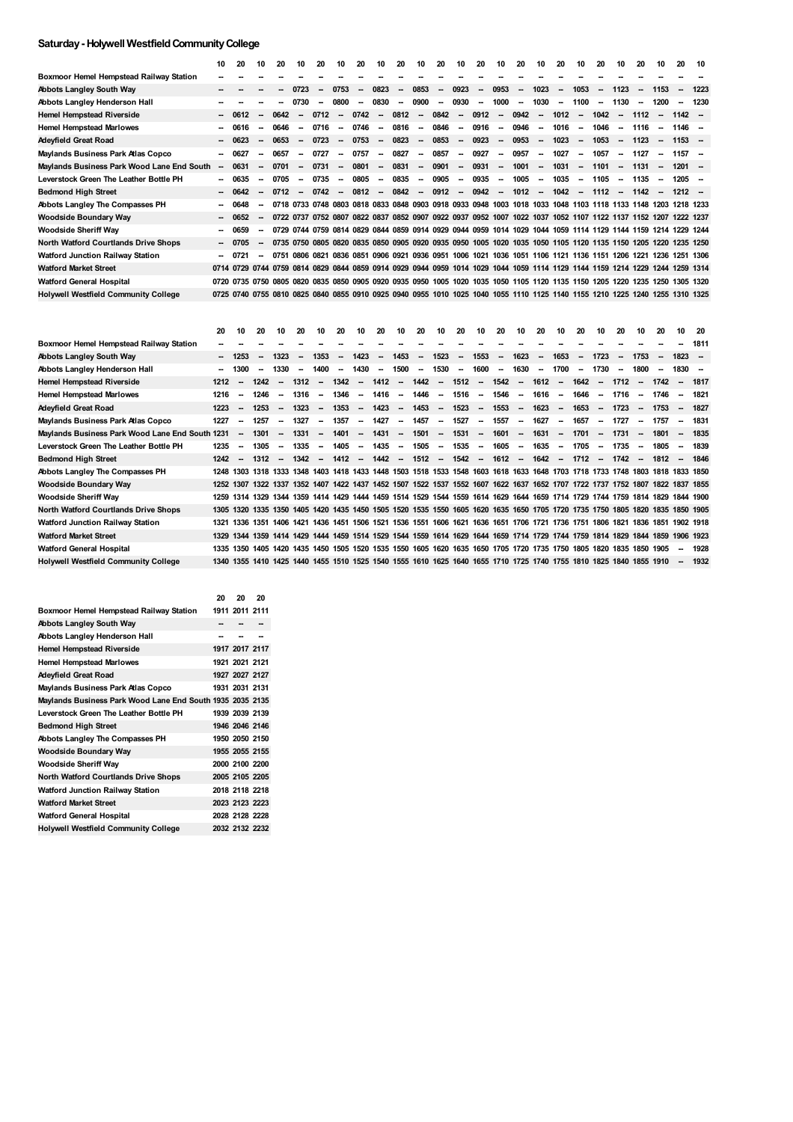## **Saturday- Holywell WestfieldCommunityCollege**

|                                             | 10     | 20                                                                                                                           | 10     | 20     | 10                       | 20                       | 10                       | 20     | 10                       | 20                       | 10                       | 20                       | 10     | 20                       | 10                       | 20                                                                                                            | 10                       | 20                       | 10                       | 20                       | 10                       | 20     | 10                       | 20                       | 10                       |
|---------------------------------------------|--------|------------------------------------------------------------------------------------------------------------------------------|--------|--------|--------------------------|--------------------------|--------------------------|--------|--------------------------|--------------------------|--------------------------|--------------------------|--------|--------------------------|--------------------------|---------------------------------------------------------------------------------------------------------------|--------------------------|--------------------------|--------------------------|--------------------------|--------------------------|--------|--------------------------|--------------------------|--------------------------|
| Boxmoor Hemel Hempstead Railway Station     |        |                                                                                                                              |        |        |                          |                          |                          |        |                          |                          |                          |                          |        |                          |                          |                                                                                                               |                          |                          |                          |                          |                          |        |                          |                          |                          |
| <b>Abbots Langley South Way</b>             |        |                                                                                                                              |        |        | 0723                     |                          | 0753                     |        | 0823                     | $\sim$                   | 0853                     | $\overline{\phantom{a}}$ | 0923   | $\overline{\phantom{a}}$ | 0953                     | $\overline{\phantom{a}}$                                                                                      | 1023                     | $\overline{\phantom{a}}$ | 1053                     | $\overline{\phantom{a}}$ | 1123                     |        | 1153                     |                          | 1223                     |
| Abbots Langley Henderson Hall               |        |                                                                                                                              |        |        | 0730                     |                          | 0800                     |        | 0830                     | $\overline{\phantom{a}}$ | 0900                     | --                       | 0930   | --                       | 1000                     | $\sim$                                                                                                        | 1030                     | $\sim$                   | 1100                     | $\overline{\phantom{a}}$ | 1130                     |        | 1200                     |                          | 1230                     |
| <b>Hemel Hempstead Riverside</b>            |        | 0612                                                                                                                         |        | 0642   | $\overline{\phantom{a}}$ | 0712                     | $\overline{\phantom{a}}$ | 0742   | $\overline{\phantom{a}}$ | 0812                     | $\overline{\phantom{a}}$ | 0842                     | $\sim$ | 0912                     | $\overline{\phantom{a}}$ | 0942                                                                                                          | $\overline{\phantom{a}}$ | 1012                     | $\sim$                   | 1042                     | $\overline{\phantom{a}}$ | 1112   | $\overline{\phantom{a}}$ | $1142 -$                 |                          |
| <b>Hemel Hempstead Marlowes</b>             | --     | 0616                                                                                                                         |        | 0646   | $\overline{\phantom{a}}$ | 0716                     | $\overline{\phantom{a}}$ | 0746   | $\sim$                   | 0816                     | $\sim$                   | 0846                     | $\sim$ | 0916                     | $\overline{\phantom{a}}$ | 0946                                                                                                          | --                       | 1016                     | $\sim$                   | 1046                     | $\sim$                   | 1116   | $\sim$                   | $1146 -$                 |                          |
| <b>Adeyfield Great Road</b>                 |        | 0623                                                                                                                         |        | 0653   | $\overline{\phantom{a}}$ | 0723                     | $\overline{\phantom{a}}$ | 0753   | $\overline{\phantom{a}}$ | 0823                     | $\overline{\phantom{a}}$ | 0853                     | $\sim$ | 0923                     | $\sim$                   | 0953                                                                                                          | $\sim$                   | 1023                     | $\overline{\phantom{a}}$ | 1053                     | $\overline{\phantom{a}}$ | 1123   | $\overline{\phantom{a}}$ | $1153 -$                 |                          |
| Maylands Business Park Atlas Copco          | ÷      | 0627                                                                                                                         |        | 0657   | $\overline{\phantom{a}}$ | 0727                     | $\overline{\phantom{a}}$ | 0757   | $\overline{\phantom{a}}$ | 0827                     | $\sim$                   | 0857                     | $\sim$ | 0927                     | $\sim$                   | 0957                                                                                                          | $\sim$                   | 1027                     | $\sim$                   | 1057                     | $\sim$                   | 1127   | $\overline{\phantom{a}}$ | $1157 -$                 |                          |
| Maylands Business Park Wood Lane End South  | $\sim$ | 0631                                                                                                                         |        | 0701   | $\overline{\phantom{a}}$ | 0731                     | $\overline{\phantom{a}}$ | 0801   | $\overline{\phantom{a}}$ | 0831                     | $\overline{\phantom{a}}$ | 0901                     | $\sim$ | 0931                     | $\overline{\phantom{a}}$ | 1001                                                                                                          | $\sim$                   | 1031                     | $\sim$                   | 1101                     | $\overline{\phantom{a}}$ | 1131   | $\sim$                   | $1201 -$                 |                          |
| Leverstock Green The Leather Bottle PH      | --     | 0635                                                                                                                         |        | 0705   | $\overline{\phantom{a}}$ | 0735                     | $\overline{\phantom{a}}$ | 0805   | $\sim$                   | 0835                     | $\sim$                   | 0905                     | $\sim$ | 0935                     | $\sim$                   | 1005                                                                                                          | $\sim$                   | 1035                     | $\sim$                   | 1105                     | $\overline{\phantom{a}}$ | 1135   | $\sim$                   | $1205 -$                 |                          |
| <b>Bedmond High Street</b>                  | н.     | 0642                                                                                                                         |        | 0712   | $\overline{\phantom{a}}$ | 0742                     | $\overline{\phantom{a}}$ | 0812   | $\sim$                   | 0842                     | $\overline{\phantom{a}}$ | 0912                     | $\sim$ | 0942                     | $\overline{\phantom{a}}$ | 1012                                                                                                          | $\sim$                   | 1042                     | $\sim$                   | 1112                     | $\overline{\phantom{a}}$ | 1142   | $\overline{\phantom{a}}$ | $1212 -$                 |                          |
| Abbots Langley The Compasses PH             |        | 0648                                                                                                                         |        |        |                          |                          |                          |        |                          |                          |                          |                          |        |                          |                          | 0718 0733 0748 0803 0818 0833 0848 0903 0918 0933 0948 1003 1018 1033 1048 1103 1118 1133 1148 1203 1218 1233 |                          |                          |                          |                          |                          |        |                          |                          |                          |
| <b>Woodside Boundary Way</b>                |        | 0652                                                                                                                         | $\sim$ |        |                          |                          |                          |        |                          |                          |                          |                          |        |                          |                          | 0722 0737 0752 0807 0822 0837 0852 0907 0922 0937 0952 1007 1022 1037 1052 1107 1122 1137 1152 1207 1222 1237 |                          |                          |                          |                          |                          |        |                          |                          |                          |
| <b>Woodside Sheriff Way</b>                 | Ξ.     | 0659                                                                                                                         |        |        |                          |                          |                          |        |                          |                          |                          |                          |        |                          |                          | 0729 0744 0759 0814 0829 0844 0859 0914 0929 0944 0959 1014 1029 1044 1059 1114 1129 1144 1159 1214 1229 1244 |                          |                          |                          |                          |                          |        |                          |                          |                          |
| North Watford Courtlands Drive Shops        | ۰.     | 0705                                                                                                                         |        |        |                          |                          |                          |        |                          |                          |                          |                          |        |                          |                          | 0735 0750 0805 0820 0835 0850 0905 0920 0935 0950 1005 1020 1035 1050 1105 1120 1135 1150 1205 1220 1235 1250 |                          |                          |                          |                          |                          |        |                          |                          |                          |
| Watford Junction Railway Station            | −      | 0721                                                                                                                         |        |        |                          |                          |                          |        |                          |                          |                          |                          |        |                          |                          | 0751 0806 0821 0836 0851 0906 0921 0936 0951 1006 1021 1036 1051 1106 1121 1136 1151 1206 1221 1236 1251 1306 |                          |                          |                          |                          |                          |        |                          |                          |                          |
| <b>Watford Market Street</b>                |        | 0714 0729 0744 0759 0814 0829 0844 0859 0914 0929 0944 0959 1014 1029 1044 1059 1114 1129 1144 1159 1214 1229 1244 1259 1314 |        |        |                          |                          |                          |        |                          |                          |                          |                          |        |                          |                          |                                                                                                               |                          |                          |                          |                          |                          |        |                          |                          |                          |
| <b>Watford General Hospital</b>             |        | 0720 0735 0750 0805 0820 0835 0850 0905 0920 0935 0950 1005 1020 1035 1050 1105 1120 1135 1150 1205 1220 1235 1250 1305 1320 |        |        |                          |                          |                          |        |                          |                          |                          |                          |        |                          |                          |                                                                                                               |                          |                          |                          |                          |                          |        |                          |                          |                          |
| <b>Holywell Westfield Community College</b> |        | 0725 0740 0755 0810 0825 0840 0855 0910 0925 0940 0955 1010 1025 1040 1055 1110 1125 1140 1155 1210 1225 1240 1255 1310 1325 |        |        |                          |                          |                          |        |                          |                          |                          |                          |        |                          |                          |                                                                                                               |                          |                          |                          |                          |                          |        |                          |                          |                          |
|                                             | 20     | 10                                                                                                                           | 20     | 10     | 20                       | 10                       | 20                       | 10     | 20                       | 10                       | 20                       | 10                       | 20     | 10                       | 20                       | 10                                                                                                            | 20                       | 10                       | 20                       | 10                       | 20                       | 10     | 20                       | 10                       | -20                      |
| Boxmoor Hemel Hempstead Railway Station     |        |                                                                                                                              |        |        |                          |                          |                          |        |                          |                          |                          |                          |        |                          |                          |                                                                                                               |                          |                          |                          |                          |                          |        |                          |                          | 1811                     |
| <b>Abbots Langley South Way</b>             | ۰.     | 1253                                                                                                                         |        | 1323   |                          | 1353                     | $\overline{\phantom{a}}$ | 1423   | -                        | 1453                     | $\sim$                   | 1523                     | $\sim$ | 1553                     | $\overline{\phantom{a}}$ | 1623                                                                                                          | $\overline{\phantom{a}}$ | 1653                     | $\overline{\phantom{a}}$ | 1723                     | $\overline{\phantom{a}}$ | 1753   | $\overline{\phantom{a}}$ | 1823                     | $\sim$                   |
| Abbots Langley Henderson Hall               | Ξ.     | 1300                                                                                                                         |        | 1330   |                          | 1400                     | $\overline{\phantom{a}}$ | 1430   | $\sim$                   | 1500                     | $\sim$                   | 1530                     | $\sim$ | 1600                     | $\sim$                   | 1630                                                                                                          | $\sim$                   | 1700                     | $\sim$                   | 1730                     | $\overline{\phantom{a}}$ | 1800   |                          | 1830                     | $\overline{\phantom{a}}$ |
| <b>Hemel Hempstead Riverside</b>            | 1212   |                                                                                                                              | 1242   | $\sim$ | 1312                     | $\sim$                   | 1342                     | $\sim$ | 1412                     | $\overline{\phantom{a}}$ | 1442                     | $\overline{\phantom{a}}$ | 1512   | $\sim$                   | 1542                     | $\overline{\phantom{a}}$                                                                                      | 1612                     | $\sim$                   | 1642                     | $\sim$                   | 1712                     |        | $- 1742$                 | $\overline{\phantom{a}}$ | 1817                     |
| <b>Hemel Hempstead Marlowes</b>             | 1216   | $\overline{\phantom{a}}$                                                                                                     | 1246   | $\sim$ | 1316                     | $\overline{\phantom{a}}$ | 1346                     | $\sim$ | 1416                     | $\sim$                   | 1446                     | $\sim$                   | 1516   | $\sim$                   | 1546                     | $\sim$                                                                                                        | 1616                     | $\sim$                   | 1646                     | $\sim$                   | 1716                     | $\sim$ | 1746                     | $\sim$                   | 1821                     |
|                                             |        |                                                                                                                              |        |        |                          |                          |                          |        |                          |                          |                          |                          |        |                          |                          |                                                                                                               |                          |                          |                          |                          |                          |        |                          |                          |                          |

| Adeyfield Great Road                            | 1223 | $\overline{\phantom{a}}$ | 1253 | $\sim$ | 1323 | $\sim$                   | 1353        | $\sim$ | 1423    | $\sim$ | 1453                                                                                                                         |        | $-1523$ | $\overline{\phantom{a}}$ | 1553        |        | $-1623$ | $\overline{\phantom{a}}$ | 1653     |                          | $-1723$  | $\sim$ | 1753 |                          | $-1827$ |
|-------------------------------------------------|------|--------------------------|------|--------|------|--------------------------|-------------|--------|---------|--------|------------------------------------------------------------------------------------------------------------------------------|--------|---------|--------------------------|-------------|--------|---------|--------------------------|----------|--------------------------|----------|--------|------|--------------------------|---------|
| Maylands Business Park Atlas Copco              | 1227 | $\overline{\phantom{a}}$ | 1257 | $\sim$ | 1327 | $\sim$                   | 1357        | $\sim$ | 1427    | $\sim$ | 1457                                                                                                                         | $\sim$ | 1527    | $\overline{\phantom{a}}$ | 1557        | $\sim$ | 1627    | $\overline{\phantom{a}}$ | 1657     | $\overline{\phantom{a}}$ | 1727     | $\sim$ | 1757 | $\overline{\phantom{a}}$ | 1831    |
| Maylands Business Park Wood Lane End South 1231 |      | -                        | 1301 | $\sim$ | 1331 | $\sim$                   | 1401        |        | -- 1431 |        | - 1501                                                                                                                       |        | -- 1531 | $\sim$                   | 1601        | $\sim$ | 1631    | $\sim$                   | 1701     | $\sim$                   | $1731 -$ |        | 1801 | $\overline{\phantom{a}}$ | 1835    |
| Leverstock Green The Leather Bottle PH          | 1235 | $\overline{\phantom{a}}$ | 1305 | $\sim$ | 1335 | $\overline{\phantom{a}}$ | 1405        | $\sim$ | 1435    | $\sim$ | 1505                                                                                                                         | $\sim$ | 1535    | $\sim$                   | 1605        | $\sim$ | 1635    | $\sim$                   | 1705     | $\sim$                   | 1735     | $\sim$ | 1805 | $\overline{\phantom{a}}$ | 1839    |
| <b>Bedmond High Street</b>                      | 1242 | $\overline{\phantom{a}}$ | 1312 | $\sim$ | 1342 | $\sim$                   | 1412 - 1442 |        |         |        | -- 1512 -- 1542 --                                                                                                           |        |         |                          | 1612 - 1642 |        |         | $\sim$                   | $1712 -$ |                          | 1742 –   |        | 1812 |                          | 1846    |
| Abbots Langley The Compasses PH                 |      |                          |      |        |      |                          |             |        |         |        | 1248 1303 1318 1333 1348 1403 1418 1433 1448 1503 1518 1533 1548 1603 1618 1633 1648 1703 1718 1733 1748 1803 1818 1833 1850 |        |         |                          |             |        |         |                          |          |                          |          |        |      |                          |         |
| <b>Woodside Boundary Way</b>                    |      |                          |      |        |      |                          |             |        |         |        | 1252 1307 1322 1337 1352 1407 1422 1437 1452 1507 1522 1537 1552 1607 1622 1637 1652 1707 1722 1737 1752 1807 1822 1837 1855 |        |         |                          |             |        |         |                          |          |                          |          |        |      |                          |         |
| <b>Woodside Sheriff Way</b>                     |      |                          |      |        |      |                          |             |        |         |        | 1259 1314 1329 1344 1359 1414 1429 1444 1459 1514 1529 1544 1559 1614 1629 1644 1659 1714 1729 1744 1759 1814 1829 1844 1900 |        |         |                          |             |        |         |                          |          |                          |          |        |      |                          |         |
| <b>North Watford Courtlands Drive Shops</b>     |      |                          |      |        |      |                          |             |        |         |        | 1305 1320 1335 1350 1405 1420 1435 1450 1505 1520 1535 1550 1605 1620 1635 1650 1705 1720 1735 1750 1805 1820 1835 1850 1905 |        |         |                          |             |        |         |                          |          |                          |          |        |      |                          |         |
| Watford Junction Railway Station                |      |                          |      |        |      |                          |             |        |         |        | 1321 1336 1351 1406 1421 1436 1451 1506 1521 1536 1551 1606 1621 1636 1651 1706 1721 1736 1751 1806 1821 1836 1851 1902 1918 |        |         |                          |             |        |         |                          |          |                          |          |        |      |                          |         |
| <b>Watford Market Street</b>                    |      |                          |      |        |      |                          |             |        |         |        | 1329 1344 1359 1414 1429 1444 1459 1514 1529 1544 1559 1614 1629 1644 1659 1714 1729 1744 1759 1814 1829 1844 1859 1906 1923 |        |         |                          |             |        |         |                          |          |                          |          |        |      |                          |         |
| <b>Watford General Hospital</b>                 |      |                          |      |        |      |                          |             |        |         |        | 1335 1350 1405 1420 1435 1450 1505 1520 1535 1550 1605 1620 1635 1650 1705 1720 1735 1750 1805 1820 1835 1850 1905           |        |         |                          |             |        |         |                          |          |                          |          |        |      | $\overline{\phantom{a}}$ | 1928    |
| <b>Holywell Westfield Community College</b>     |      |                          |      |        |      |                          |             |        |         |        | 1340 1355 1410 1425 1440 1455 1510 1525 1540 1555 1610 1625 1640 1655 1710 1725 1740 1755 1810 1825 1840 1855 1910           |        |         |                          |             |        |         |                          |          |                          |          |        |      | $\overline{\phantom{a}}$ | 1932    |

|                                                           | 20 | 20             | 20 |
|-----------------------------------------------------------|----|----------------|----|
| Boxmoor Hemel Hempstead Railway Station                   |    | 1911 2011 2111 |    |
| <b>Abbots Langley South Way</b>                           |    |                |    |
| Abbots Langley Henderson Hall                             |    |                |    |
| <b>Hemel Hempstead Riverside</b>                          |    | 1917 2017 2117 |    |
| <b>Hemel Hempstead Marlowes</b>                           |    | 1921 2021 2121 |    |
| Adeyfield Great Road                                      |    | 1927 2027 2127 |    |
| Maylands Business Park Atlas Copco                        |    | 1931 2031 2131 |    |
| Maylands Business Park Wood Lane End South 1935 2035 2135 |    |                |    |
| Leverstock Green The Leather Bottle PH                    |    | 1939 2039 2139 |    |
| <b>Bedmond High Street</b>                                |    | 1946 2046 2146 |    |
| Abbots Langley The Compasses PH                           |    | 1950 2050 2150 |    |
| Woodside Boundary Way                                     |    | 1955 2055 2155 |    |
| Woodside Sheriff Way                                      |    | 2000 2100 2200 |    |
| <b>North Watford Courtlands Drive Shops</b>               |    | 2005 2105 2205 |    |
| Watford Junction Railway Station                          |    | 2018 2118 2218 |    |
| <b>Watford Market Street</b>                              |    | 2023 2123 2223 |    |
| <b>Watford General Hospital</b>                           |    | 2028 2128 2228 |    |
| <b>Holywell Westfield Community College</b>               |    | 2032 2132 2232 |    |